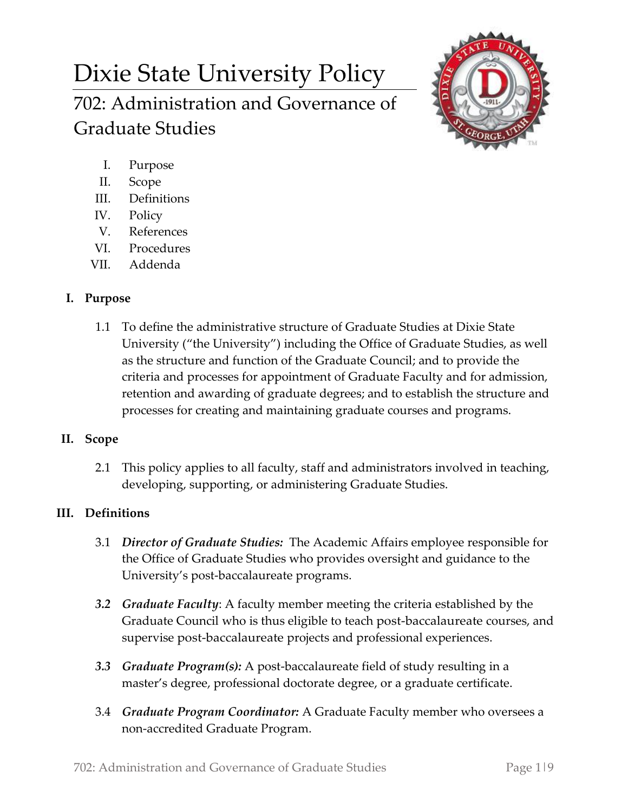# Dixie State University Policy 702: Administration and Governance of Graduate Studies



- I. Purpose
- II. Scope
- III. Definitions
- IV. Policy
- V. References
- VI. Procedures
- VII. Addenda

# **I. Purpose**

1.1 To define the administrative structure of Graduate Studies at Dixie State University ("the University") including the Office of Graduate Studies, as well as the structure and function of the Graduate Council; and to provide the criteria and processes for appointment of Graduate Faculty and for admission, retention and awarding of graduate degrees; and to establish the structure and processes for creating and maintaining graduate courses and programs.

## **II. Scope**

2.1 This policy applies to all faculty, staff and administrators involved in teaching, developing, supporting, or administering Graduate Studies.

# **III. Definitions**

- 3.1 *Director of Graduate Studies:* The Academic Affairs employee responsible for the Office of Graduate Studies who provides oversight and guidance to the University's post-baccalaureate programs.
- *3.2 Graduate Faculty*: A faculty member meeting the criteria established by the Graduate Council who is thus eligible to teach post-baccalaureate courses, and supervise post-baccalaureate projects and professional experiences.
- *3.3 Graduate Program(s):* A post-baccalaureate field of study resulting in a master's degree, professional doctorate degree, or a graduate certificate.
- 3.4 *Graduate Program Coordinator:* A Graduate Faculty member who oversees a non-accredited Graduate Program.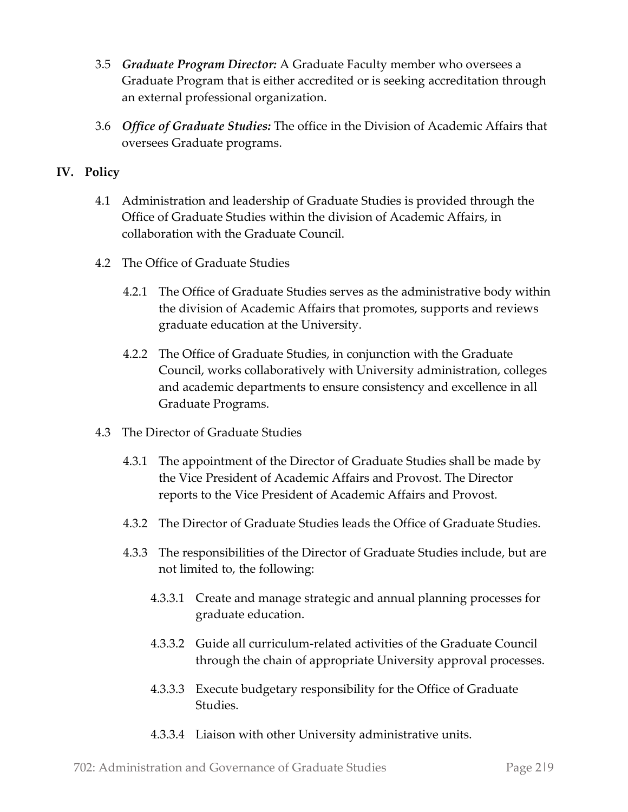- 3.5 *Graduate Program Director:* A Graduate Faculty member who oversees a Graduate Program that is either accredited or is seeking accreditation through an external professional organization.
- 3.6 *Office of Graduate Studies:* The office in the Division of Academic Affairs that oversees Graduate programs.

### **IV. Policy**

- 4.1 Administration and leadership of Graduate Studies is provided through the Office of Graduate Studies within the division of Academic Affairs, in collaboration with the Graduate Council.
- 4.2 The Office of Graduate Studies
	- 4.2.1 The Office of Graduate Studies serves as the administrative body within the division of Academic Affairs that promotes, supports and reviews graduate education at the University.
	- 4.2.2 The Office of Graduate Studies, in conjunction with the Graduate Council, works collaboratively with University administration, colleges and academic departments to ensure consistency and excellence in all Graduate Programs.
- 4.3 The Director of Graduate Studies
	- 4.3.1 The appointment of the Director of Graduate Studies shall be made by the Vice President of Academic Affairs and Provost. The Director reports to the Vice President of Academic Affairs and Provost.
	- 4.3.2 The Director of Graduate Studies leads the Office of Graduate Studies.
	- 4.3.3 The responsibilities of the Director of Graduate Studies include, but are not limited to, the following:
		- 4.3.3.1 Create and manage strategic and annual planning processes for graduate education.
		- 4.3.3.2 Guide all curriculum-related activities of the Graduate Council through the chain of appropriate University approval processes.
		- 4.3.3.3 Execute budgetary responsibility for the Office of Graduate Studies.
		- 4.3.3.4 Liaison with other University administrative units.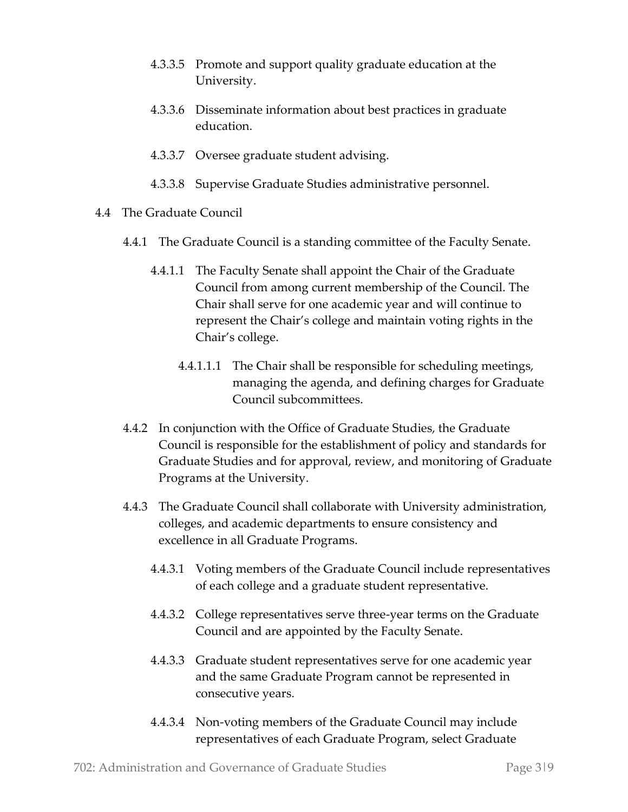- 4.3.3.5 Promote and support quality graduate education at the University.
- 4.3.3.6 Disseminate information about best practices in graduate education.
- 4.3.3.7 Oversee graduate student advising.
- 4.3.3.8 Supervise Graduate Studies administrative personnel.
- 4.4 The Graduate Council
	- 4.4.1 The Graduate Council is a standing committee of the Faculty Senate.
		- 4.4.1.1 The Faculty Senate shall appoint the Chair of the Graduate Council from among current membership of the Council. The Chair shall serve for one academic year and will continue to represent the Chair's college and maintain voting rights in the Chair's college.
			- 4.4.1.1.1 The Chair shall be responsible for scheduling meetings, managing the agenda, and defining charges for Graduate Council subcommittees.
	- 4.4.2 In conjunction with the Office of Graduate Studies, the Graduate Council is responsible for the establishment of policy and standards for Graduate Studies and for approval, review, and monitoring of Graduate Programs at the University.
	- 4.4.3 The Graduate Council shall collaborate with University administration, colleges, and academic departments to ensure consistency and excellence in all Graduate Programs.
		- 4.4.3.1 Voting members of the Graduate Council include representatives of each college and a graduate student representative.
		- 4.4.3.2 College representatives serve three-year terms on the Graduate Council and are appointed by the Faculty Senate.
		- 4.4.3.3 Graduate student representatives serve for one academic year and the same Graduate Program cannot be represented in consecutive years.
		- 4.4.3.4 Non-voting members of the Graduate Council may include representatives of each Graduate Program, select Graduate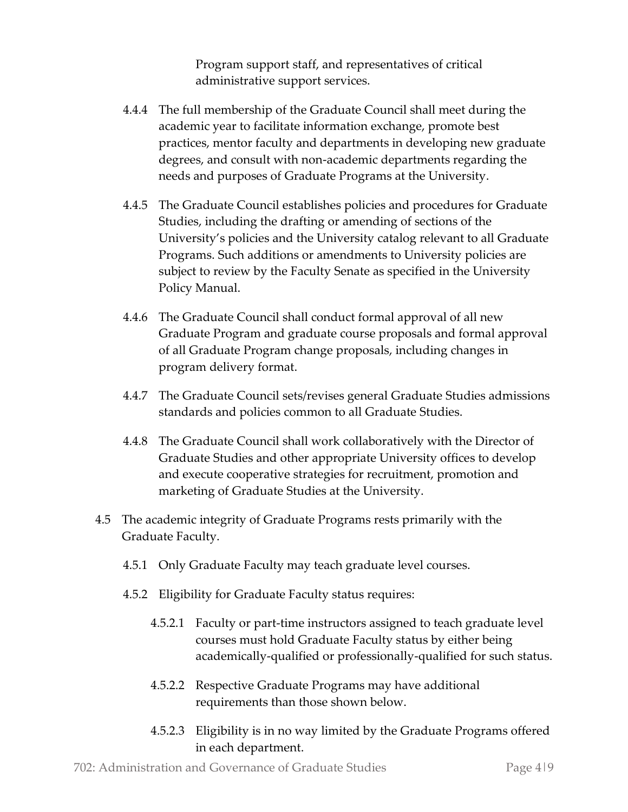Program support staff, and representatives of critical administrative support services.

- 4.4.4 The full membership of the Graduate Council shall meet during the academic year to facilitate information exchange, promote best practices, mentor faculty and departments in developing new graduate degrees, and consult with non-academic departments regarding the needs and purposes of Graduate Programs at the University.
- 4.4.5 The Graduate Council establishes policies and procedures for Graduate Studies, including the drafting or amending of sections of the University's policies and the University catalog relevant to all Graduate Programs. Such additions or amendments to University policies are subject to review by the Faculty Senate as specified in the University Policy Manual.
- 4.4.6 The Graduate Council shall conduct formal approval of all new Graduate Program and graduate course proposals and formal approval of all Graduate Program change proposals, including changes in program delivery format.
- 4.4.7 The Graduate Council sets/revises general Graduate Studies admissions standards and policies common to all Graduate Studies.
- 4.4.8 The Graduate Council shall work collaboratively with the Director of Graduate Studies and other appropriate University offices to develop and execute cooperative strategies for recruitment, promotion and marketing of Graduate Studies at the University.
- 4.5 The academic integrity of Graduate Programs rests primarily with the Graduate Faculty.
	- 4.5.1 Only Graduate Faculty may teach graduate level courses.
	- 4.5.2 Eligibility for Graduate Faculty status requires:
		- 4.5.2.1 Faculty or part-time instructors assigned to teach graduate level courses must hold Graduate Faculty status by either being academically-qualified or professionally-qualified for such status.
		- 4.5.2.2 Respective Graduate Programs may have additional requirements than those shown below.
		- 4.5.2.3 Eligibility is in no way limited by the Graduate Programs offered in each department.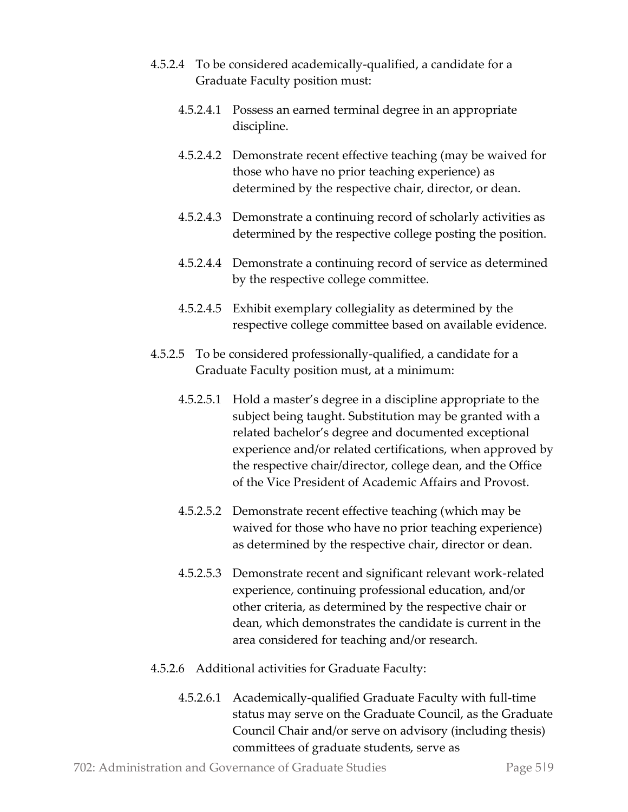- 4.5.2.4 To be considered academically-qualified, a candidate for a Graduate Faculty position must:
	- 4.5.2.4.1 Possess an earned terminal degree in an appropriate discipline.
	- 4.5.2.4.2 Demonstrate recent effective teaching (may be waived for those who have no prior teaching experience) as determined by the respective chair, director, or dean.
	- 4.5.2.4.3 Demonstrate a continuing record of scholarly activities as determined by the respective college posting the position.
	- 4.5.2.4.4 Demonstrate a continuing record of service as determined by the respective college committee.
	- 4.5.2.4.5 Exhibit exemplary collegiality as determined by the respective college committee based on available evidence.
- 4.5.2.5 To be considered professionally-qualified, a candidate for a Graduate Faculty position must, at a minimum:
	- 4.5.2.5.1 Hold a master's degree in a discipline appropriate to the subject being taught. Substitution may be granted with a related bachelor's degree and documented exceptional experience and/or related certifications, when approved by the respective chair/director, college dean, and the Office of the Vice President of Academic Affairs and Provost.
	- 4.5.2.5.2 Demonstrate recent effective teaching (which may be waived for those who have no prior teaching experience) as determined by the respective chair, director or dean.
	- 4.5.2.5.3 Demonstrate recent and significant relevant work-related experience, continuing professional education, and/or other criteria, as determined by the respective chair or dean, which demonstrates the candidate is current in the area considered for teaching and/or research.
- 4.5.2.6 Additional activities for Graduate Faculty:
	- 4.5.2.6.1 Academically-qualified Graduate Faculty with full-time status may serve on the Graduate Council, as the Graduate Council Chair and/or serve on advisory (including thesis) committees of graduate students, serve as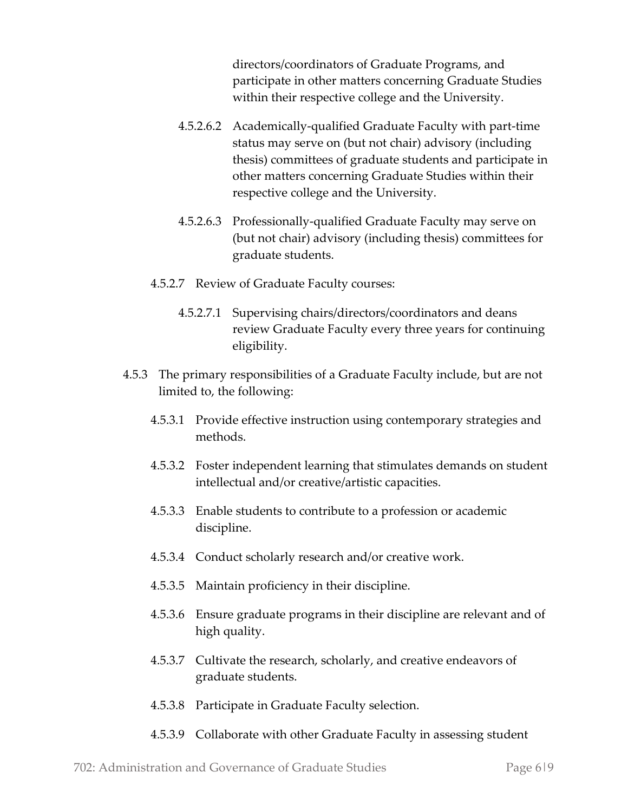directors/coordinators of Graduate Programs, and participate in other matters concerning Graduate Studies within their respective college and the University.

- 4.5.2.6.2 Academically-qualified Graduate Faculty with part-time status may serve on (but not chair) advisory (including thesis) committees of graduate students and participate in other matters concerning Graduate Studies within their respective college and the University.
- 4.5.2.6.3 Professionally-qualified Graduate Faculty may serve on (but not chair) advisory (including thesis) committees for graduate students.
- 4.5.2.7 Review of Graduate Faculty courses:
	- 4.5.2.7.1 Supervising chairs/directors/coordinators and deans review Graduate Faculty every three years for continuing eligibility.
- 4.5.3 The primary responsibilities of a Graduate Faculty include, but are not limited to, the following:
	- 4.5.3.1 Provide effective instruction using contemporary strategies and methods.
	- 4.5.3.2 Foster independent learning that stimulates demands on student intellectual and/or creative/artistic capacities.
	- 4.5.3.3 Enable students to contribute to a profession or academic discipline.
	- 4.5.3.4 Conduct scholarly research and/or creative work.
	- 4.5.3.5 Maintain proficiency in their discipline.
	- 4.5.3.6 Ensure graduate programs in their discipline are relevant and of high quality.
	- 4.5.3.7 Cultivate the research, scholarly, and creative endeavors of graduate students.
	- 4.5.3.8 Participate in Graduate Faculty selection.
	- 4.5.3.9 Collaborate with other Graduate Faculty in assessing student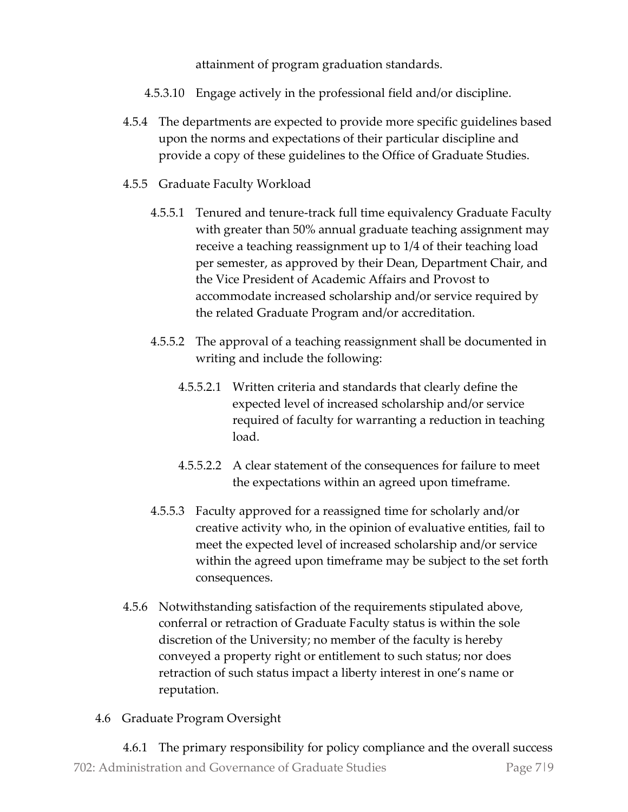attainment of program graduation standards.

- 4.5.3.10 Engage actively in the professional field and/or discipline.
- 4.5.4 The departments are expected to provide more specific guidelines based upon the norms and expectations of their particular discipline and provide a copy of these guidelines to the Office of Graduate Studies.
- 4.5.5 Graduate Faculty Workload
	- 4.5.5.1 Tenured and tenure-track full time equivalency Graduate Faculty with greater than 50% annual graduate teaching assignment may receive a teaching reassignment up to 1/4 of their teaching load per semester, as approved by their Dean, Department Chair, and the Vice President of Academic Affairs and Provost to accommodate increased scholarship and/or service required by the related Graduate Program and/or accreditation.
	- 4.5.5.2 The approval of a teaching reassignment shall be documented in writing and include the following:
		- 4.5.5.2.1 Written criteria and standards that clearly define the expected level of increased scholarship and/or service required of faculty for warranting a reduction in teaching load.
		- 4.5.5.2.2 A clear statement of the consequences for failure to meet the expectations within an agreed upon timeframe.
	- 4.5.5.3 Faculty approved for a reassigned time for scholarly and/or creative activity who, in the opinion of evaluative entities, fail to meet the expected level of increased scholarship and/or service within the agreed upon timeframe may be subject to the set forth consequences.
- 4.5.6 Notwithstanding satisfaction of the requirements stipulated above, conferral or retraction of Graduate Faculty status is within the sole discretion of the University; no member of the faculty is hereby conveyed a property right or entitlement to such status; nor does retraction of such status impact a liberty interest in one's name or reputation.
- 4.6 Graduate Program Oversight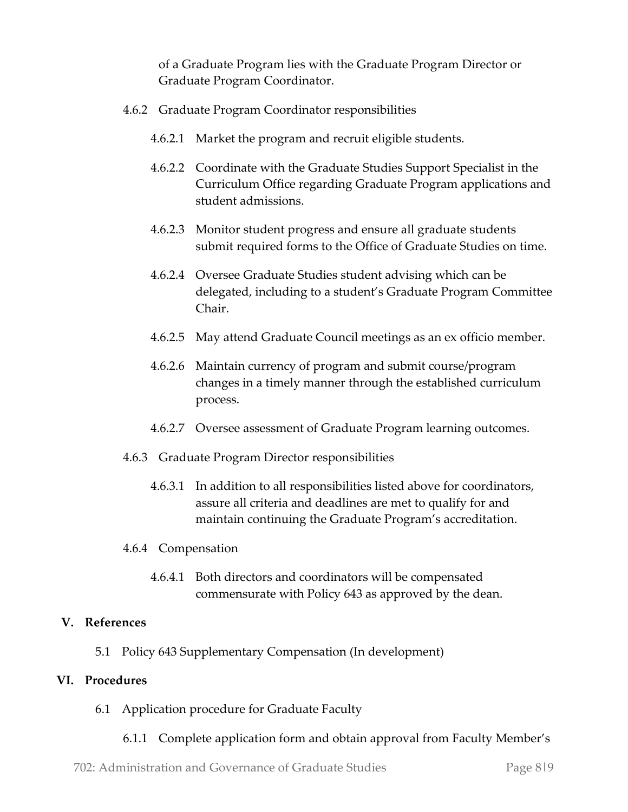of a Graduate Program lies with the Graduate Program Director or Graduate Program Coordinator.

- 4.6.2 Graduate Program Coordinator responsibilities
	- 4.6.2.1 Market the program and recruit eligible students.
	- 4.6.2.2 Coordinate with the Graduate Studies Support Specialist in the Curriculum Office regarding Graduate Program applications and student admissions.
	- 4.6.2.3 Monitor student progress and ensure all graduate students submit required forms to the Office of Graduate Studies on time.
	- 4.6.2.4 Oversee Graduate Studies student advising which can be delegated, including to a student's Graduate Program Committee Chair.
	- 4.6.2.5 May attend Graduate Council meetings as an ex officio member.
	- 4.6.2.6 Maintain currency of program and submit course/program changes in a timely manner through the established curriculum process.
	- 4.6.2.7 Oversee assessment of Graduate Program learning outcomes.
- 4.6.3 Graduate Program Director responsibilities
	- 4.6.3.1 In addition to all responsibilities listed above for coordinators, assure all criteria and deadlines are met to qualify for and maintain continuing the Graduate Program's accreditation.
- 4.6.4 Compensation
	- 4.6.4.1 Both directors and coordinators will be compensated commensurate with Policy 643 as approved by the dean.

#### **V. References**

5.1 Policy 643 Supplementary Compensation (In development)

#### **VI. Procedures**

- 6.1 Application procedure for Graduate Faculty
	- 6.1.1 Complete application form and obtain approval from Faculty Member's